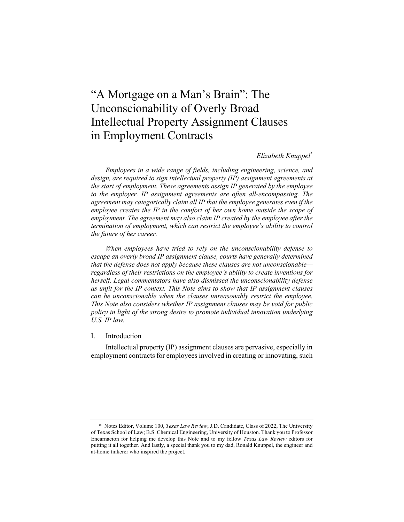# "A Mortgage on a Man's Brain": The Unconscionability of Overly Broad Intellectual Property Assignment Clauses in Employment Contracts

# *Elizabeth Knuppel*\*

*Employees in a wide range of fields, including engineering, science, and design, are required to sign intellectual property (IP) assignment agreements at the start of employment. These agreements assign IP generated by the employee to the employer. IP assignment agreements are often all-encompassing. The agreement may categorically claim all IP that the employee generates even if the employee creates the IP in the comfort of her own home outside the scope of employment. The agreement may also claim IP created by the employee after the termination of employment, which can restrict the employee's ability to control the future of her career.*

*When employees have tried to rely on the unconscionability defense to escape an overly broad IP assignment clause, courts have generally determined that the defense does not apply because these clauses are not unconscionable regardless of their restrictions on the employee's ability to create inventions for herself. Legal commentators have also dismissed the unconscionability defense as unfit for the IP context. This Note aims to show that IP assignment clauses can be unconscionable when the clauses unreasonably restrict the employee. This Note also considers whether IP assignment clauses may be void for public policy in light of the strong desire to promote individual innovation underlying U.S. IP law.*

#### I. Introduction

Intellectual property (IP) assignment clauses are pervasive, especially in employment contracts for employees involved in creating or innovating, such

<sup>\*</sup> Notes Editor, Volume 100, *Texas Law Review*; J.D. Candidate, Class of 2022, The University of Texas School of Law; B.S. Chemical Engineering, University of Houston. Thank you to Professor Encarnacion for helping me develop this Note and to my fellow *Texas Law Review* editors for putting it all together. And lastly, a special thank you to my dad, Ronald Knuppel, the engineer and at-home tinkerer who inspired the project.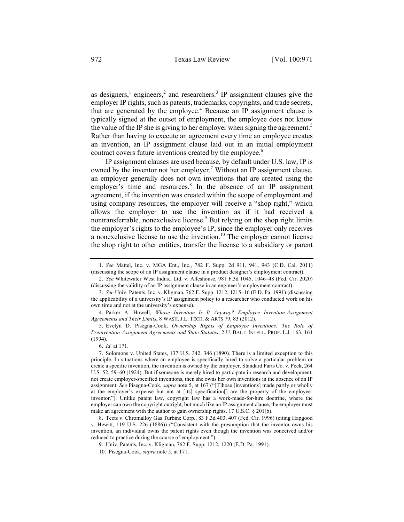as designers, $<sup>1</sup>$  engineers, $<sup>2</sup>$  and researchers. $<sup>3</sup>$  IP assignment clauses give the</sup></sup></sup> employer IP rights, such as patents, trademarks, copyrights, and trade secrets, that are generated by the employee.<sup>4</sup> Because an IP assignment clause is typically signed at the outset of employment, the employee does not know the value of the IP she is giving to her employer when signing the agreement.<sup>5</sup> Rather than having to execute an agreement every time an employee creates an invention, an IP assignment clause laid out in an initial employment contract covers future inventions created by the employee.<sup>6</sup>

IP assignment clauses are used because, by default under U.S. law, IP is owned by the inventor not her employer.<sup>7</sup> Without an IP assignment clause, an employer generally does not own inventions that are created using the employer's time and resources.<sup>8</sup> In the absence of an IP assignment agreement, if the invention was created within the scope of employment and using company resources, the employer will receive a "shop right," which allows the employer to use the invention as if it had received a nontransferrable, nonexclusive license. $9$  But relying on the shop right limits the employer's rights to the employee's IP, since the employer only receives a nonexclusive license to use the invention.<sup>10</sup> The employer cannot license the shop right to other entities, transfer the license to a subsidiary or parent

5. Evelyn D. Pisegna-Cook, *Ownership Rights of Employee Inventions: The Role of Preinvention Assignment Agreements and State Statutes*, 2 U. BALT. INTELL. PROP. L.J. 163, 164 (1994).

<sup>1.</sup> *See* Mattel, Inc. v. MGA Ent., Inc., 782 F. Supp. 2d 911, 941, 943 (C.D. Cal. 2011) (discussing the scope of an IP assignment clause in a product designer's employment contract).

<sup>2.</sup> *See* Whitewater West Indus., Ltd. v. Alleshouse, 981 F.3d 1045, 1046–48 (Fed. Cir. 2020) (discussing the validity of an IP assignment clause in an engineer's employment contract).

<sup>3.</sup> *See* Univ. Patents, Inc. v. Kligman, 762 F. Supp. 1212, 1215–16 (E.D. Pa. 1991) (discussing the applicability of a university's IP assignment policy to a researcher who conducted work on his own time and not at the university's expense).

<sup>4.</sup> Parker A. Howell, *Whose Invention Is It Anyway? Employee Invention-Assignment Agreements and Their Limits*, 8 WASH. J.L. TECH. & ARTS 79, 83 (2012).

<sup>6.</sup> *Id.* at 171.

<sup>7.</sup> Solomons v. United States, 137 U.S. 342, 346 (1890). There is a limited exception to this principle. In situations where an employee is specifically hired to solve a particular problem or create a specific invention, the invention is owned by the employer. Standard Parts Co. v. Peck, 264 U.S. 52, 59–60 (1924). But if someone is merely hired to participate in research and development, not create employer-specified inventions, then she owns her own inventions in the absence of an IP assignment. *See* Pisegna-Cook, *supra* note 5, at 167 ("[T]hose [inventions] made partly or wholly at the employer's expense but not at [its] specification[] are the property of the employeeinventor."). Unlike patent law, copyright law has a work-made-for-hire doctrine, where the employer can own the copyright outright, but much like an IP assignment clause, the employer must make an agreement with the author to gain ownership rights. 17 U.S.C. § 201(b).

<sup>8.</sup> Teets v. Chromalloy Gas Turbine Corp., 83 F.3d 403, 407 (Fed. Cir. 1996) (citing Hapgood v. Hewitt, 119 U.S. 226 (1886)) ("Consistent with the presumption that the inventor owns his invention, an individual owns the patent rights even though the invention was conceived and/or reduced to practice during the course of employment.").

<sup>9.</sup> Univ. Patents, Inc. v. Kligman, 762 F. Supp. 1212, 1220 (E.D. Pa. 1991).

<sup>10.</sup> Pisegna-Cook, *supra* note 5, at 171.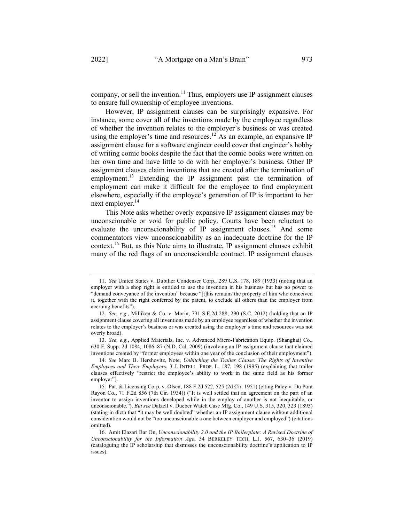company, or sell the invention.<sup>11</sup> Thus, employers use IP assignment clauses to ensure full ownership of employee inventions.

However, IP assignment clauses can be surprisingly expansive. For instance, some cover all of the inventions made by the employee regardless of whether the invention relates to the employer's business or was created using the employer's time and resources.<sup>12</sup> As an example, an expansive IP assignment clause for a software engineer could cover that engineer's hobby of writing comic books despite the fact that the comic books were written on her own time and have little to do with her employer's business. Other IP assignment clauses claim inventions that are created after the termination of employment.<sup>13</sup> Extending the IP assignment past the termination of employment can make it difficult for the employee to find employment elsewhere, especially if the employee's generation of IP is important to her next employer.<sup>14</sup>

This Note asks whether overly expansive IP assignment clauses may be unconscionable or void for public policy. Courts have been reluctant to evaluate the unconscionability of IP assignment clauses.<sup>15</sup> And some commentators view unconscionability as an inadequate doctrine for the IP context.16 But, as this Note aims to illustrate, IP assignment clauses exhibit many of the red flags of an unconscionable contract. IP assignment clauses

<sup>11.</sup> *See* United States v. Dubilier Condenser Corp., 289 U.S. 178, 189 (1933) (noting that an employer with a shop right is entitled to use the invention in his business but has no power to "demand conveyance of the invention" because "[t]his remains the property of him who conceived it, together with the right conferred by the patent, to exclude all others than the employer from accruing benefits").

<sup>12.</sup> *See, e.g.*, Milliken & Co. v. Morin, 731 S.E.2d 288, 290 (S.C. 2012) (holding that an IP assignment clause covering all inventions made by an employee regardless of whether the invention relates to the employer's business or was created using the employer's time and resources was not overly broad).

<sup>13.</sup> *See, e.g.*, Applied Materials, Inc. v. Advanced Micro-Fabrication Equip. (Shanghai) Co., 630 F. Supp. 2d 1084, 1086–87 (N.D. Cal. 2009) (involving an IP assignment clause that claimed inventions created by "former employees within one year of the conclusion of their employment").

<sup>14.</sup> *See* Marc B. Hershovitz, Note, *Unhitching the Trailer Clause: The Rights of Inventive Employees and Their Employers*, 3 J. INTELL. PROP. L. 187, 198 (1995) (explaining that trailer clauses effectively "restrict the employee's ability to work in the same field as his former employer").

<sup>15.</sup> Pat. & Licensing Corp. v. Olsen, 188 F.2d 522, 525 (2d Cir. 1951) (citing Paley v. Du Pont Rayon Co*.*, 71 F.2d 856 (7th Cir. 1934)) ("It is well settled that an agreement on the part of an inventor to assign inventions developed while in the employ of another is not inequitable, or unconscionable."). *But see* Dalzell v. Dueber Watch Case Mfg. Co., 149 U.S. 315, 320, 323 (1893) (stating in dicta that "it may be well doubted" whether an IP assignment clause without additional consideration would not be "too unconscionable a one between employer and employed") (citations omitted).

<sup>16.</sup> Amit Elazari Bar On, *Unconscionability 2.0 and the IP Boilerplate: A Revised Doctrine of Unconscionability for the Information Age*, 34 BERKELEY TECH. L.J. 567, 630–36 (2019) (cataloguing the IP scholarship that dismisses the unconscionability doctrine's application to IP issues).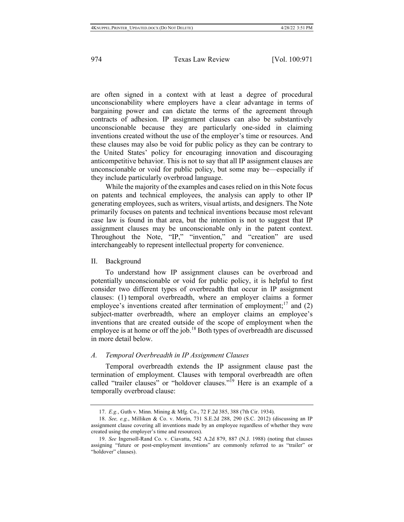are often signed in a context with at least a degree of procedural unconscionability where employers have a clear advantage in terms of bargaining power and can dictate the terms of the agreement through contracts of adhesion. IP assignment clauses can also be substantively unconscionable because they are particularly one-sided in claiming inventions created without the use of the employer's time or resources. And these clauses may also be void for public policy as they can be contrary to the United States' policy for encouraging innovation and discouraging anticompetitive behavior. This is not to say that all IP assignment clauses are unconscionable or void for public policy, but some may be—especially if they include particularly overbroad language.

While the majority of the examples and cases relied on in this Note focus on patents and technical employees, the analysis can apply to other IP generating employees, such as writers, visual artists, and designers. The Note primarily focuses on patents and technical inventions because most relevant case law is found in that area, but the intention is not to suggest that IP assignment clauses may be unconscionable only in the patent context. Throughout the Note, "IP," "invention," and "creation" are used interchangeably to represent intellectual property for convenience.

#### II. Background

To understand how IP assignment clauses can be overbroad and potentially unconscionable or void for public policy, it is helpful to first consider two different types of overbreadth that occur in IP assignment clauses: (1) temporal overbreadth, where an employer claims a former employee's inventions created after termination of employment;<sup>17</sup> and (2) subject-matter overbreadth, where an employer claims an employee's inventions that are created outside of the scope of employment when the employee is at home or off the job.<sup>18</sup> Both types of overbreadth are discussed in more detail below.

#### *A. Temporal Overbreadth in IP Assignment Clauses*

Temporal overbreadth extends the IP assignment clause past the termination of employment. Clauses with temporal overbreadth are often called "trailer clauses" or "holdover clauses."<sup>19</sup> Here is an example of a temporally overbroad clause:

<sup>17.</sup> *E.g.*, Guth v. Minn. Mining & Mfg. Co., 72 F.2d 385, 388 (7th Cir. 1934).

<sup>18.</sup> *See, e.g.*, Milliken & Co. v. Morin, 731 S.E.2d 288, 290 (S.C. 2012) (discussing an IP assignment clause covering all inventions made by an employee regardless of whether they were created using the employer's time and resources).

<sup>19.</sup> *See* Ingersoll-Rand Co. v. Ciavatta, 542 A.2d 879, 887 (N.J. 1988) (noting that clauses assigning "future or post-employment inventions" are commonly referred to as "trailer" or "holdover" clauses).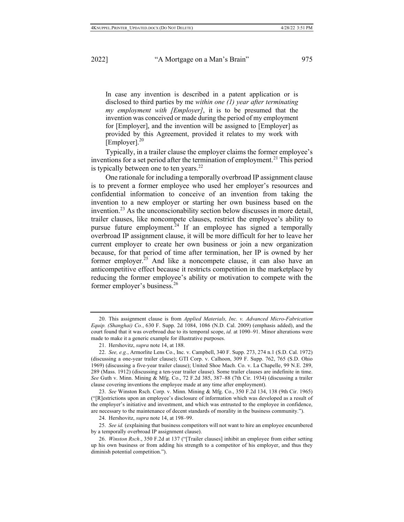In case any invention is described in a patent application or is disclosed to third parties by me *within one (1) year after terminating my employment with [Employer]*, it is to be presumed that the invention was conceived or made during the period of my employment for [Employer], and the invention will be assigned to [Employer] as provided by this Agreement, provided it relates to my work with [Employer]. 20

Typically, in a trailer clause the employer claims the former employee's inventions for a set period after the termination of employment.<sup>21</sup> This period is typically between one to ten years. $22$ 

One rationale for including a temporally overbroad IP assignment clause is to prevent a former employee who used her employer's resources and confidential information to conceive of an invention from taking the invention to a new employer or starting her own business based on the invention. <sup>23</sup> As the unconscionability section below discusses in more detail, trailer clauses, like noncompete clauses, restrict the employee's ability to pursue future employment.<sup>24</sup> If an employee has signed a temporally overbroad IP assignment clause, it will be more difficult for her to leave her current employer to create her own business or join a new organization because, for that period of time after termination, her IP is owned by her former employer.<sup>25</sup> And like a noncompete clause, it can also have an anticompetitive effect because it restricts competition in the marketplace by reducing the former employee's ability or motivation to compete with the former employer's business.<sup>26</sup>

23. *See* Winston Rsch. Corp. v. Minn. Mining & Mfg. Co., 350 F.2d 134, 138 (9th Cir. 1965) ("[R]estrictions upon an employee's disclosure of information which was developed as a result of the employer's initiative and investment, and which was entrusted to the employee in confidence, are necessary to the maintenance of decent standards of morality in the business community.").

25. *See id.* (explaining that business competitors will not want to hire an employee encumbered by a temporally overbroad IP assignment clause).

<sup>20.</sup> This assignment clause is from *Applied Materials, Inc. v. Advanced Micro-Fabrication Equip. (Shanghai) Co.*, 630 F. Supp. 2d 1084, 1086 (N.D. Cal. 2009) (emphasis added), and the court found that it was overbroad due to its temporal scope, *id.* at 1090–91. Minor alterations were made to make it a generic example for illustrative purposes.

<sup>21.</sup> Hershovitz, *supra* note 14, at 188.

<sup>22.</sup> *See, e.g.*, Armorlite Lens Co., Inc. v. Campbell, 340 F. Supp. 273, 274 n.1 (S.D. Cal. 1972) (discussing a one-year trailer clause); GTI Corp. v. Calhoon, 309 F. Supp. 762, 765 (S.D. Ohio 1969) (discussing a five-year trailer clause); United Shoe Mach. Co. v. La Chapelle, 99 N.E. 289, 289 (Mass. 1912) (discussing a ten-year trailer clause). Some trailer clauses are indefinite in time. *See* Guth v. Minn. Mining & Mfg. Co., 72 F.2d 385, 387–88 (7th Cir. 1934) (discussing a trailer clause covering inventions the employee made at any time after employment).

<sup>24.</sup> Hershovitz, *supra* note 14, at 198–99.

<sup>26.</sup> *Winston Rsch*., 350 F.2d at 137 ("[Trailer clauses] inhibit an employee from either setting up his own business or from adding his strength to a competitor of his employer, and thus they diminish potential competition.").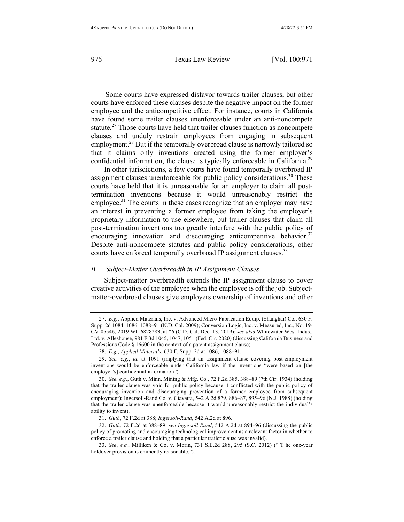Some courts have expressed disfavor towards trailer clauses, but other courts have enforced these clauses despite the negative impact on the former employee and the anticompetitive effect. For instance, courts in California have found some trailer clauses unenforceable under an anti-noncompete statute.<sup>27</sup> Those courts have held that trailer clauses function as noncompete clauses and unduly restrain employees from engaging in subsequent employment.<sup>28</sup> But if the temporally overbroad clause is narrowly tailored so that it claims only inventions created using the former employer's confidential information, the clause is typically enforceable in California.<sup>29</sup>

In other jurisdictions, a few courts have found temporally overbroad IP assignment clauses unenforceable for public policy considerations.<sup>30</sup> These courts have held that it is unreasonable for an employer to claim all posttermination inventions because it would unreasonably restrict the employee.<sup>31</sup> The courts in these cases recognize that an employer may have an interest in preventing a former employee from taking the employer's proprietary information to use elsewhere, but trailer clauses that claim all post-termination inventions too greatly interfere with the public policy of encouraging innovation and discouraging anticompetitive behavior.<sup>32</sup> Despite anti-noncompete statutes and public policy considerations, other courts have enforced temporally overbroad IP assignment clauses.<sup>33</sup>

#### *B. Subject-Matter Overbreadth in IP Assignment Clauses*

Subject-matter overbreadth extends the IP assignment clause to cover creative activities of the employee when the employee is off the job. Subjectmatter-overbroad clauses give employers ownership of inventions and other

<sup>27.</sup> *E.g.*, Applied Materials, Inc. v. Advanced Micro-Fabrication Equip. (Shanghai) Co*.*, 630 F. Supp. 2d 1084, 1086, 1088–91 (N.D. Cal. 2009); Conversion Logic, Inc. v. Measured, Inc., No. 19- CV-05546, 2019 WL 6828283, at \*6 (C.D. Cal. Dec. 13, 2019); *see also* Whitewater West Indus., Ltd. v. Alleshouse, 981 F.3d 1045, 1047, 1051 (Fed. Cir. 2020) (discussing California Business and Professions Code § 16600 in the context of a patent assignment clause).

<sup>28.</sup> *E.g.*, *Applied Materials*, 630 F. Supp. 2d at 1086, 1088–91.

<sup>29.</sup> *See, e.g.*, *id.* at 1091 (implying that an assignment clause covering post-employment inventions would be enforceable under California law if the inventions "were based on [the employer's] confidential information").

<sup>30.</sup> *See, e.g.*, Guth v. Minn. Mining & Mfg. Co., 72 F.2d 385, 388–89 (7th Cir. 1934) (holding that the trailer clause was void for public policy because it conflicted with the public policy of encouraging invention and discouraging prevention of a former employee from subsequent employment); Ingersoll-Rand Co. v. Ciavatta, 542 A.2d 879, 886–87, 895–96 (N.J. 1988) (holding that the trailer clause was unenforceable because it would unreasonably restrict the individual's ability to invent).

<sup>31.</sup> *Guth*, 72 F.2d at 388; *Ingersoll-Rand*, 542 A.2d at 896.

<sup>32.</sup> *Guth*, 72 F.2d at 388–89; *see Ingersoll-Rand*, 542 A.2d at 894–96 (discussing the public policy of promoting and encouraging technological improvement as a relevant factor in whether to enforce a trailer clause and holding that a particular trailer clause was invalid).

<sup>33.</sup> *See*, *e.g.*, Milliken & Co. v. Morin, 731 S.E.2d 288, 295 (S.C. 2012) ("[T]he one-year holdover provision is eminently reasonable.").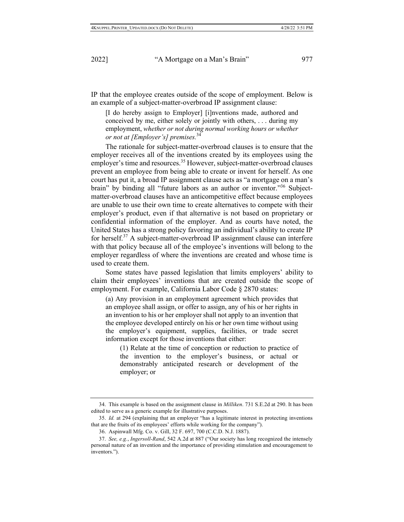IP that the employee creates outside of the scope of employment. Below is an example of a subject-matter-overbroad IP assignment clause:

[I do hereby assign to Employer] [i]nventions made, authored and conceived by me, either solely or jointly with others, . . . during my employment, *whether or not during normal working hours or whether or not at [Employer's] premises.*<sup>34</sup>

The rationale for subject-matter-overbroad clauses is to ensure that the employer receives all of the inventions created by its employees using the employer's time and resources.<sup>35</sup> However, subject-matter-overbroad clauses prevent an employee from being able to create or invent for herself. As one court has put it, a broad IP assignment clause acts as "a mortgage on a man's brain" by binding all "future labors as an author or inventor."<sup>36</sup> Subjectmatter-overbroad clauses have an anticompetitive effect because employees are unable to use their own time to create alternatives to compete with their employer's product, even if that alternative is not based on proprietary or confidential information of the employer. And as courts have noted, the United States has a strong policy favoring an individual's ability to create IP for herself.<sup>37</sup> A subject-matter-overbroad IP assignment clause can interfere with that policy because all of the employee's inventions will belong to the employer regardless of where the inventions are created and whose time is used to create them.

Some states have passed legislation that limits employers' ability to claim their employees' inventions that are created outside the scope of employment. For example, California Labor Code § 2870 states:

(a) Any provision in an employment agreement which provides that an employee shall assign, or offer to assign, any of his or her rights in an invention to his or her employer shall not apply to an invention that the employee developed entirely on his or her own time without using the employer's equipment, supplies, facilities, or trade secret information except for those inventions that either:

(1) Relate at the time of conception or reduction to practice of the invention to the employer's business, or actual or demonstrably anticipated research or development of the employer; or

<sup>34.</sup> This example is based on the assignment clause in *Milliken*. 731 S.E.2d at 290. It has been edited to serve as a generic example for illustrative purposes.

<sup>35.</sup> *Id.* at 294 (explaining that an employer "has a legitimate interest in protecting inventions that are the fruits of its employees' efforts while working for the company").

<sup>36.</sup> Aspinwall Mfg. Co. v. Gill, 32 F. 697, 700 (C.C.D. N.J. 1887).

<sup>37.</sup> *See, e.g.*, *Ingersoll-Rand*, 542 A.2d at 887 ("Our society has long recognized the intensely personal nature of an invention and the importance of providing stimulation and encouragement to inventors.").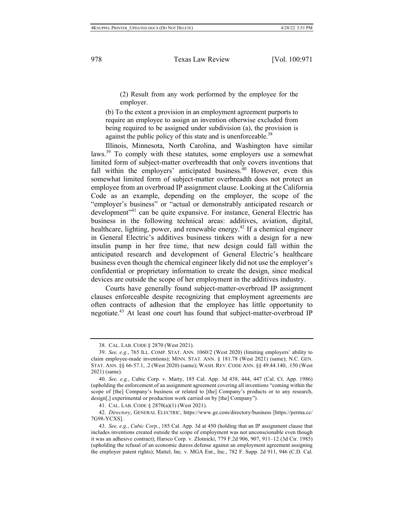(2) Result from any work performed by the employee for the employer.

(b) To the extent a provision in an employment agreement purports to require an employee to assign an invention otherwise excluded from being required to be assigned under subdivision (a), the provision is against the public policy of this state and is unenforceable.<sup>38</sup>

Illinois, Minnesota, North Carolina, and Washington have similar laws.<sup>39</sup> To comply with these statutes, some employers use a somewhat limited form of subject-matter overbreadth that only covers inventions that fall within the employers' anticipated business.<sup>40</sup> However, even this somewhat limited form of subject-matter overbreadth does not protect an employee from an overbroad IP assignment clause. Looking at the California Code as an example, depending on the employer, the scope of the "employer's business" or "actual or demonstrably anticipated research or development"<sup>41</sup> can be quite expansive. For instance, General Electric has business in the following technical areas: additives, aviation, digital, healthcare, lighting, power, and renewable energy.<sup>42</sup> If a chemical engineer in General Electric's additives business tinkers with a design for a new insulin pump in her free time, that new design could fall within the anticipated research and development of General Electric's healthcare business even though the chemical engineer likely did not use the employer's confidential or proprietary information to create the design, since medical devices are outside the scope of her employment in the additives industry.

Courts have generally found subject-matter-overbroad IP assignment clauses enforceable despite recognizing that employment agreements are often contracts of adhesion that the employee has little opportunity to negotiate.43 At least one court has found that subject-matter-overbroad IP

<sup>38.</sup> CAL. LAB. CODE § 2870 (West 2021).

<sup>39.</sup> *See, e.g.*, 765 ILL. COMP. STAT. ANN. 1060/2 (West 2020) (limiting employers' ability to claim employee-made inventions); MINN. STAT. ANN. § 181.78 (West 2021) (same); N.C. GEN. STAT. ANN. §§ 66-57.1, .2 (West 2020) (same); WASH. REV. CODE ANN. §§ 49.44.140, .150 (West 2021) (same).

<sup>40.</sup> *See, e.g.*, Cubic Corp. v. Marty, 185 Cal. App. 3d 438, 444, 447 (Cal. Ct. App. 1986) (upholding the enforcement of an assignment agreement covering all inventions "coming within the scope of [the] Company's business or related to [the] Company's products or to any research, design[,] experimental or production work carried on by [the] Company").

<sup>41.</sup> CAL. LAB. CODE § 2870(a)(1) (West 2021).

<sup>42.</sup> *Directory*, GENERAL ELECTRIC, https://www.ge.com/directory/business [https://perma.cc/ 7G98-YCXS].

<sup>43.</sup> *See, e.g.*, *Cubic Corp.*, 185 Cal. App. 3d at 450 (holding that an IP assignment clause that includes inventions created outside the scope of employment was not unconscionable even though it was an adhesive contract); Harsco Corp. v. Zlotnicki, 779 F.2d 906, 907, 911–12 (3d Cir. 1985) (upholding the refusal of an economic duress defense against an employment agreement assigning the employer patent rights); Mattel, Inc. v. MGA Ent., Inc., 782 F. Supp. 2d 911, 946 (C.D. Cal.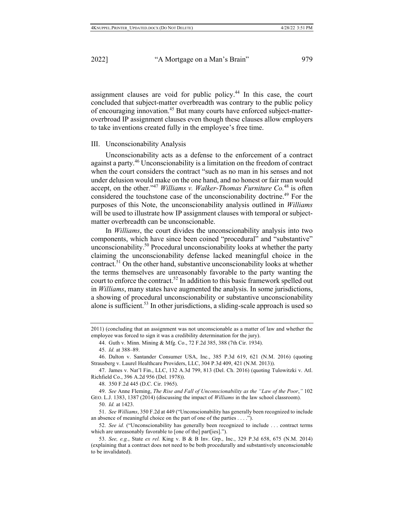assignment clauses are void for public policy.<sup>44</sup> In this case, the court concluded that subject-matter overbreadth was contrary to the public policy of encouraging innovation.<sup>45</sup> But many courts have enforced subject-matteroverbroad IP assignment clauses even though these clauses allow employers to take inventions created fully in the employee's free time.

#### III. Unconscionability Analysis

Unconscionability acts as a defense to the enforcement of a contract against a party.<sup>46</sup> Unconscionability is a limitation on the freedom of contract when the court considers the contract "such as no man in his senses and not under delusion would make on the one hand, and no honest or fair man would accept, on the other."<sup>47</sup> *Williams v. Walker-Thomas Furniture Co.*<sup>48</sup> is often considered the touchstone case of the unconscionability doctrine.<sup>49</sup> For the purposes of this Note, the unconscionability analysis outlined in *Williams* will be used to illustrate how IP assignment clauses with temporal or subjectmatter overbreadth can be unconscionable.

In *Williams*, the court divides the unconscionability analysis into two components, which have since been coined "procedural" and "substantive" unconscionability.<sup>50</sup> Procedural unconscionability looks at whether the party claiming the unconscionability defense lacked meaningful choice in the contract.51 On the other hand, substantive unconscionability looks at whether the terms themselves are unreasonably favorable to the party wanting the court to enforce the contract.<sup>52</sup> In addition to this basic framework spelled out in *Williams*, many states have augmented the analysis. In some jurisdictions, a showing of procedural unconscionability or substantive unconscionability alone is sufficient.<sup>53</sup> In other jurisdictions, a sliding-scale approach is used so

48. 350 F.2d 445 (D.C. Cir. 1965).

49. *See* Anne Fleming, *The Rise and Fall of Unconscionability as the "Law of the Poor*,*"* 102 GEO. L.J. 1383, 1387 (2014) (discussing the impact of *Williams* in the law school classroom).

51. *See Williams*, 350 F.2d at 449 ("Unconscionability has generally been recognized to include an absence of meaningful choice on the part of one of the parties . . . .").

52. *See id.* ("Unconscionability has generally been recognized to include . . . contract terms which are unreasonably favorable to [one of the] part[ies].").

<sup>2011) (</sup>concluding that an assignment was not unconscionable as a matter of law and whether the employee was forced to sign it was a credibility determination for the jury).

<sup>44.</sup> Guth v. Minn. Mining & Mfg. Co., 72 F.2d 385, 388 (7th Cir. 1934).

<sup>45.</sup> *Id.* at 388–89.

<sup>46.</sup> Dalton v. Santander Consumer USA, Inc., 385 P.3d 619, 621 (N.M. 2016) (quoting Strausberg v. Laurel Healthcare Providers, LLC, 304 P.3d 409, 421 (N.M. 2013)).

<sup>47.</sup> James v. Nat'l Fin., LLC, 132 A.3d 799, 813 (Del. Ch. 2016) (quoting Tulowitzki v. Atl. Richfield Co., 396 A.2d 956 (Del. 1978)).

<sup>50.</sup> *Id.* at 1423.

<sup>53.</sup> *See, e.g.*, State *ex rel.* King v. B & B Inv. Grp., Inc., 329 P.3d 658, 675 (N.M. 2014) (explaining that a contract does not need to be both procedurally and substantively unconscionable to be invalidated).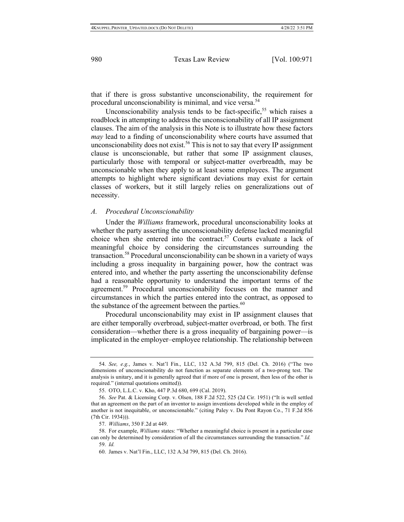that if there is gross substantive unconscionability, the requirement for procedural unconscionability is minimal, and vice versa.54

Unconscionability analysis tends to be fact-specific,<sup>55</sup> which raises a roadblock in attempting to address the unconscionability of all IP assignment clauses. The aim of the analysis in this Note is to illustrate how these factors *may* lead to a finding of unconscionability where courts have assumed that unconscionability does not exist.<sup>56</sup> This is not to say that every IP assignment clause is unconscionable, but rather that some IP assignment clauses, particularly those with temporal or subject-matter overbreadth, may be unconscionable when they apply to at least some employees. The argument attempts to highlight where significant deviations may exist for certain classes of workers, but it still largely relies on generalizations out of necessity.

### *A. Procedural Unconscionability*

Under the *Williams* framework, procedural unconscionability looks at whether the party asserting the unconscionability defense lacked meaningful choice when she entered into the contract.<sup>57</sup> Courts evaluate a lack of meaningful choice by considering the circumstances surrounding the transaction.<sup>58</sup> Procedural unconscionability can be shown in a variety of ways including a gross inequality in bargaining power, how the contract was entered into, and whether the party asserting the unconscionability defense had a reasonable opportunity to understand the important terms of the agreement.<sup>59</sup> Procedural unconscionability focuses on the manner and circumstances in which the parties entered into the contract, as opposed to the substance of the agreement between the parties. $60$ 

Procedural unconscionability may exist in IP assignment clauses that are either temporally overbroad, subject-matter overbroad, or both. The first consideration—whether there is a gross inequality of bargaining power—is implicated in the employer–employee relationship. The relationship between

<sup>54.</sup> *See, e.g.*, James v. Nat'l Fin., LLC, 132 A.3d 799, 815 (Del. Ch. 2016) ("The two dimensions of unconscionability do not function as separate elements of a two-prong test. The analysis is unitary, and it is generally agreed that if more of one is present, then less of the other is required." (internal quotations omitted)).

<sup>55.</sup> OTO, L.L.C. v. Kho, 447 P.3d 680, 699 (Cal. 2019).

<sup>56.</sup> *See* Pat. & Licensing Corp. v. Olsen, 188 F.2d 522, 525 (2d Cir. 1951) ("It is well settled that an agreement on the part of an inventor to assign inventions developed while in the employ of another is not inequitable, or unconscionable." (citing Paley v. Du Pont Rayon Co., 71 F.2d 856 (7th Cir. 1934))).

<sup>57.</sup> *Williams*, 350 F.2d at 449.

<sup>58.</sup> For example, *Williams* states: "Whether a meaningful choice is present in a particular case can only be determined by consideration of all the circumstances surrounding the transaction." *Id.* 59. *Id.*

<sup>60.</sup> James v. Nat'l Fin., LLC, 132 A.3d 799, 815 (Del. Ch. 2016).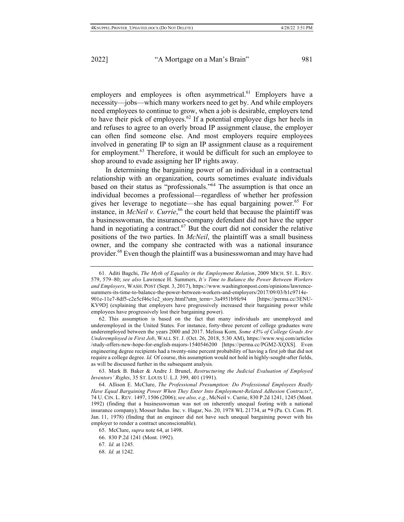employers and employees is often asymmetrical.<sup>61</sup> Employers have a necessity—jobs—which many workers need to get by. And while employers need employees to continue to grow, when a job is desirable, employers tend to have their pick of employees.<sup>62</sup> If a potential employee digs her heels in and refuses to agree to an overly broad IP assignment clause, the employer can often find someone else. And most employers require employees involved in generating IP to sign an IP assignment clause as a requirement for employment.<sup>63</sup> Therefore, it would be difficult for such an employee to shop around to evade assigning her IP rights away.

In determining the bargaining power of an individual in a contractual relationship with an organization, courts sometimes evaluate individuals based on their status as "professionals."64 The assumption is that once an individual becomes a professional—regardless of whether her profession gives her leverage to negotiate—she has equal bargaining power.<sup>65</sup> For instance, in *McNeil v. Currie*, <sup>66</sup> the court held that because the plaintiff was a businesswoman, the insurance-company defendant did not have the upper hand in negotiating a contract.<sup>67</sup> But the court did not consider the relative positions of the two parties. In *McNeil*, the plaintiff was a small business owner, and the company she contracted with was a national insurance provider.<sup>68</sup> Even though the plaintiff was a businesswoman and may have had

<sup>61.</sup> Aditi Bagchi, *The Myth of Equality in the Employment Relation*, 2009 MICH. ST. L. REV. 579, 579–80; *see also* Lawrence H. Summers, *It's Time to Balance the Power Between Workers and Employers*, WASH. POST (Sept. 3, 2017), https://www.washingtonpost.com/opinions/lawrencesummers-its-time-to-balance-the-power-between-workers-and-employers/2017/09/03/b1c9714e-901e-11e7-8df5-c2e5cf46c1e2\_story.html?utm\_term=.3a4951b9fe94 [https://perma.cc/3ENU-KV9D] (explaining that employers have progressively increased their bargaining power while employees have progressively lost their bargaining power).

<sup>62.</sup> This assumption is based on the fact that many individuals are unemployed and underemployed in the United States. For instance, forty-three percent of college graduates were underemployed between the years 2000 and 2017. Melissa Korn*, Some 43% of College Grads Are Underemployed in First Job*, WALL ST. J. (Oct. 26, 2018, 5:30 AM), https://www.wsj.com/articles /study-offers-new-hope-for-english-majors-1540546200 [https://perma.cc/PGM2-XQXS]. Even engineering degree recipients had a twenty-nine percent probability of having a first job that did not require a college degree. *Id.* Of course, this assumption would not hold in highly-sought-after fields, as will be discussed further in the subsequent analysis.

<sup>63.</sup> Mark B. Baker & Andre J. Brunel, *Restructuring the Judicial Evaluation of Employed Inventors' Rights*, 35 ST. LOUIS U. L.J. 399, 401 (1991).

<sup>64.</sup> Allison E. McClure, *The Professional Presumption: Do Professional Employees Really Have Equal Bargaining Power When They Enter Into Employment-Related Adhesion Contracts?*, 74 U. CIN. L. REV. 1497, 1506 (2006); *see also, e.g.*, McNeil v. Currie, 830 P.2d 1241, 1245 (Mont. 1992) (finding that a businesswoman was not on inherently unequal footing with a national insurance company); Mosser Indus. Inc. v. Hagar, No. 20, 1978 WL 21734, at \*9 (Pa. Ct. Com. Pl. Jan. 11, 1978) (finding that an engineer did not have such unequal bargaining power with his employer to render a contract unconscionable).

<sup>65.</sup> McClure, *supra* note 64, at 1498.

<sup>66.</sup> 830 P.2d 1241 (Mont. 1992).

<sup>67.</sup> *Id.* at 1245.

<sup>68.</sup> *Id.* at 1242.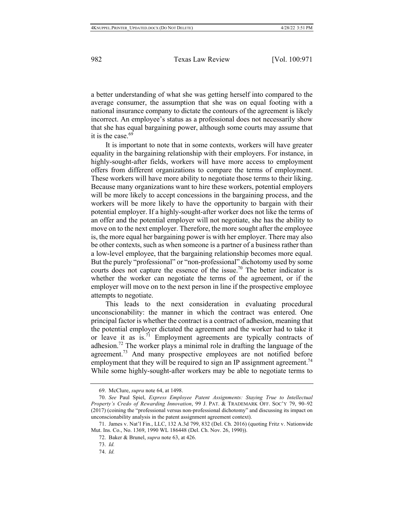a better understanding of what she was getting herself into compared to the average consumer, the assumption that she was on equal footing with a national insurance company to dictate the contours of the agreement is likely incorrect. An employee's status as a professional does not necessarily show that she has equal bargaining power, although some courts may assume that it is the case. $69$ 

It is important to note that in some contexts, workers will have greater equality in the bargaining relationship with their employers. For instance, in highly-sought-after fields, workers will have more access to employment offers from different organizations to compare the terms of employment. These workers will have more ability to negotiate those terms to their liking. Because many organizations want to hire these workers, potential employers will be more likely to accept concessions in the bargaining process, and the workers will be more likely to have the opportunity to bargain with their potential employer. If a highly-sought-after worker does not like the terms of an offer and the potential employer will not negotiate, she has the ability to move on to the next employer. Therefore, the more sought after the employee is, the more equal her bargaining power is with her employer. There may also be other contexts, such as when someone is a partner of a business rather than a low-level employee, that the bargaining relationship becomes more equal. But the purely "professional" or "non-professional" dichotomy used by some courts does not capture the essence of the issue.<sup>70</sup> The better indicator is whether the worker can negotiate the terms of the agreement, or if the employer will move on to the next person in line if the prospective employee attempts to negotiate.

This leads to the next consideration in evaluating procedural unconscionability: the manner in which the contract was entered. One principal factor is whether the contract is a contract of adhesion, meaning that the potential employer dictated the agreement and the worker had to take it or leave it as  $is.\overline{1}$  Employment agreements are typically contracts of adhesion.<sup>72</sup> The worker plays a minimal role in drafting the language of the agreement.<sup>73</sup> And many prospective employees are not notified before employment that they will be required to sign an IP assignment agreement.<sup>74</sup> While some highly-sought-after workers may be able to negotiate terms to

<sup>69.</sup> McClure, *supra* note 64, at 1498.

<sup>70.</sup> *See* Paul Spiel, *Express Employee Patent Assignments: Staying True to Intellectual Property's Credo of Rewarding Innovation*, 99 J. PAT. & TRADEMARK OFF. SOC'Y 79, 90–92 (2017) (coining the "professional versus non-professional dichotomy" and discussing its impact on unconscionability analysis in the patent assignment agreement context).

<sup>71.</sup> James v. Nat'l Fin., LLC, 132 A.3d 799, 832 (Del. Ch. 2016) (quoting Fritz v. Nationwide Mut. Ins. Co., No. 1369, 1990 WL 186448 (Del. Ch. Nov. 26, 1990)).

<sup>72.</sup> Baker & Brunel, *supra* note 63, at 426.

<sup>73.</sup> *Id.*

<sup>74.</sup> *Id.*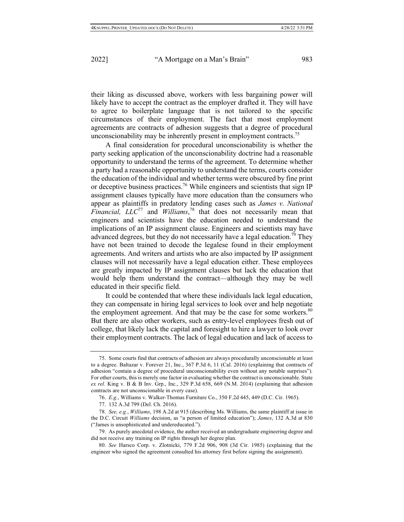their liking as discussed above, workers with less bargaining power will likely have to accept the contract as the employer drafted it. They will have to agree to boilerplate language that is not tailored to the specific circumstances of their employment. The fact that most employment agreements are contracts of adhesion suggests that a degree of procedural unconscionability may be inherently present in employment contracts.<sup>75</sup>

A final consideration for procedural unconscionability is whether the party seeking application of the unconscionability doctrine had a reasonable opportunity to understand the terms of the agreement. To determine whether a party had a reasonable opportunity to understand the terms, courts consider the education of the individual and whether terms were obscured by fine print or deceptive business practices.<sup>76</sup> While engineers and scientists that sign IP assignment clauses typically have more education than the consumers who appear as plaintiffs in predatory lending cases such as *James v. National Financial, LLC*<sup>77</sup> and *Williams*, <sup>78</sup> that does not necessarily mean that engineers and scientists have the education needed to understand the implications of an IP assignment clause. Engineers and scientists may have advanced degrees, but they do not necessarily have a legal education.<sup>79</sup> They have not been trained to decode the legalese found in their employment agreements. And writers and artists who are also impacted by IP assignment clauses will not necessarily have a legal education either. These employees are greatly impacted by IP assignment clauses but lack the education that would help them understand the contract—although they may be well educated in their specific field.

It could be contended that where these individuals lack legal education, they can compensate in hiring legal services to look over and help negotiate the employment agreement. And that may be the case for some workers.<sup>80</sup> But there are also other workers, such as entry-level employees fresh out of college, that likely lack the capital and foresight to hire a lawyer to look over their employment contracts. The lack of legal education and lack of access to

<sup>75.</sup> Some courts find that contracts of adhesion are always procedurally unconscionable at least to a degree. Baltazar v. Forever 21, Inc., 367 P.3d 6, 11 (Cal. 2016) (explaining that contracts of adhesion "contain a degree of procedural unconscionability even without any notable surprises"). For other courts, this is merely one factor in evaluating whether the contract is unconscionable. State *ex rel.* King v. B & B Inv. Grp., Inc., 329 P.3d 658, 669 (N.M. 2014) (explaining that adhesion contracts are not unconscionable in every case).

<sup>76.</sup> *E.g.*, Williams v. Walker-Thomas Furniture Co., 350 F.2d 445, 449 (D.C. Cir. 1965).

<sup>77.</sup> 132 A.3d 799 (Del. Ch. 2016).

<sup>78.</sup> *See, e.g.*, *Williams*, 198 A.2d at 915 (describing Ms. Williams, the same plaintiff at issue in the D.C. Circuit *Williams* decision, as "a person of limited education"); *James*, 132 A.3d at 830 ("James is unsophisticated and undereducated.").

<sup>79.</sup> As purely anecdotal evidence, the author received an undergraduate engineering degree and did not receive any training on IP rights through her degree plan.

<sup>80.</sup> *See* Harsco Corp. v. Zlotnicki, 779 F.2d 906, 908 (3d Cir. 1985) (explaining that the engineer who signed the agreement consulted his attorney first before signing the assignment).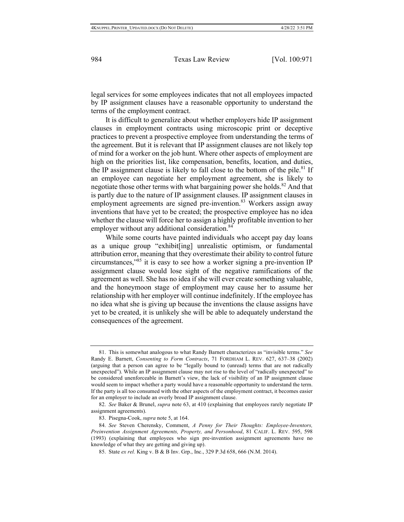legal services for some employees indicates that not all employees impacted by IP assignment clauses have a reasonable opportunity to understand the terms of the employment contract.

It is difficult to generalize about whether employers hide IP assignment clauses in employment contracts using microscopic print or deceptive practices to prevent a prospective employee from understanding the terms of the agreement. But it is relevant that IP assignment clauses are not likely top of mind for a worker on the job hunt. Where other aspects of employment are high on the priorities list, like compensation, benefits, location, and duties, the IP assignment clause is likely to fall close to the bottom of the pile.<sup>81</sup> If an employee can negotiate her employment agreement, she is likely to negotiate those other terms with what bargaining power she holds.<sup>82</sup> And that is partly due to the nature of IP assignment clauses. IP assignment clauses in employment agreements are signed pre-invention.<sup>83</sup> Workers assign away inventions that have yet to be created; the prospective employee has no idea whether the clause will force her to assign a highly profitable invention to her employer without any additional consideration.<sup>84</sup>

While some courts have painted individuals who accept pay day loans as a unique group "exhibit[ing] unrealistic optimism, or fundamental attribution error, meaning that they overestimate their ability to control future circumstances,"85 it is easy to see how a worker signing a pre-invention IP assignment clause would lose sight of the negative ramifications of the agreement as well. She has no idea if she will ever create something valuable, and the honeymoon stage of employment may cause her to assume her relationship with her employer will continue indefinitely. If the employee has no idea what she is giving up because the inventions the clause assigns have yet to be created, it is unlikely she will be able to adequately understand the consequences of the agreement.

<sup>81.</sup> This is somewhat analogous to what Randy Barnett characterizes as "invisible terms." *See*  Randy E. Barnett, *Consenting to Form Contracts*, 71 FORDHAM L. REV. 627, 637–38 (2002) (arguing that a person can agree to be "legally bound to (unread) terms that are not radically unexpected"). While an IP assignment clause may not rise to the level of "radically unexpected" to be considered unenforceable in Barnett's view, the lack of visibility of an IP assignment clause would seem to impact whether a party would have a reasonable opportunity to understand the term. If the party is all too consumed with the other aspects of the employment contract, it becomes easier for an employer to include an overly broad IP assignment clause.

<sup>82.</sup> *See* Baker & Brunel, *supra* note 63, at 410 (explaining that employees rarely negotiate IP assignment agreements).

<sup>83.</sup> Pisegna-Cook, *supra* note 5, at 164.

<sup>84.</sup> *See* Steven Cherensky, Comment, *A Penny for Their Thoughts: Employee-Inventors, Preinvention Assignment Agreements, Property, and Personhood*, 81 CALIF. L. REV. 595, 598 (1993) (explaining that employees who sign pre-invention assignment agreements have no knowledge of what they are getting and giving up).

<sup>85.</sup> State *ex rel.* King v. B & B Inv. Grp., Inc., 329 P.3d 658, 666 (N.M. 2014).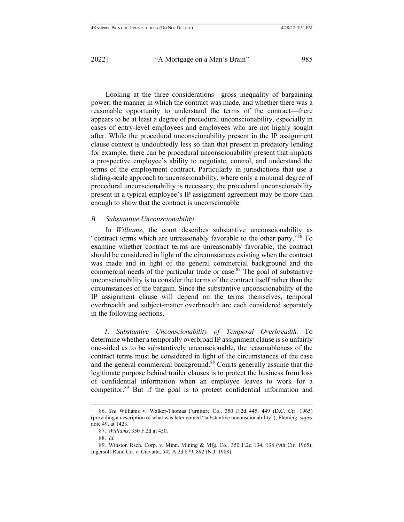Looking at the three considerations—gross inequality of bargaining power, the manner in which the contract was made, and whether there was a reasonable opportunity to understand the terms of the contract—there appears to be at least a degree of procedural unconscionability, especially in cases of entry-level employees and employees who are not highly sought after. While the procedural unconscionability present in the IP assignment clause context is undoubtedly less so than that present in predatory lending for example, there can be procedural unconscionability present that impacts a prospective employee's ability to negotiate, control, and understand the terms of the employment contract. Particularly in jurisdictions that use a sliding-scale approach to unconscionability, where only a minimal degree of procedural unconscionability is necessary, the procedural unconscionability present in a typical employee's IP assignment agreement may be more than enough to show that the contract is unconscionable.

#### *B. Substantive Unconscionability*

In *Williams*, the court describes substantive unconscionability as "contract terms which are unreasonably favorable to the other party."<sup>86</sup> To examine whether contract terms are unreasonably favorable, the contract should be considered in light of the circumstances existing when the contract was made and in light of the general commercial background and the commercial needs of the particular trade or case. $87$  The goal of substantive unconscionability is to consider the terms of the contract itself rather than the circumstances of the bargain. Since the substantive unconscionability of the IP assignment clause will depend on the terms themselves, temporal overbreadth and subject-matter overbreadth are each considered separately in the following sections.

*1. Substantive Unconscionability of Temporal Overbreadth.—*To determine whether a temporally overbroad IP assignment clause is so unfairly one-sided as to be substantively unconscionable, the reasonableness of the contract terms must be considered in light of the circumstances of the case and the general commercial background.<sup>88</sup> Courts generally assume that the legitimate purpose behind trailer clauses is to protect the business from loss of confidential information when an employee leaves to work for a competitor.89 But if the goal is to protect confidential information and

<sup>86.</sup> *See* Williams v. Walker-Thomas Furniture Co., 350 F.2d 445, 449 (D.C. Cir. 1965) (providing a description of what was later coined "substantive unconscionability"); Fleming, *supra* note 49, at 1423.

<sup>87.</sup> *Williams*, 350 F.2d at 450.

<sup>88.</sup> *Id.*

<sup>89.</sup> Winston Rsch. Corp. v. Minn. Mining & Mfg. Co., 350 F.2d 134, 138 (9th Cir. 1965); Ingersoll-Rand Co. v. Ciavatta, 542 A.2d 879, 892 (N.J. 1988).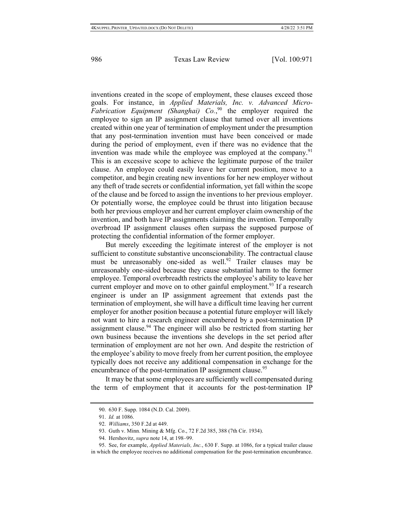inventions created in the scope of employment, these clauses exceed those goals. For instance, in *Applied Materials, Inc. v. Advanced Micro-Fabrication Equipment (Shanghai) Co.*, <sup>90</sup> the employer required the employee to sign an IP assignment clause that turned over all inventions created within one year of termination of employment under the presumption that any post-termination invention must have been conceived or made during the period of employment, even if there was no evidence that the invention was made while the employee was employed at the company.<sup>91</sup> This is an excessive scope to achieve the legitimate purpose of the trailer clause. An employee could easily leave her current position, move to a competitor, and begin creating new inventions for her new employer without any theft of trade secrets or confidential information, yet fall within the scope of the clause and be forced to assign the inventions to her previous employer. Or potentially worse, the employee could be thrust into litigation because both her previous employer and her current employer claim ownership of the invention, and both have IP assignments claiming the invention. Temporally overbroad IP assignment clauses often surpass the supposed purpose of protecting the confidential information of the former employer.

But merely exceeding the legitimate interest of the employer is not sufficient to constitute substantive unconscionability. The contractual clause must be unreasonably one-sided as well.<sup>92</sup> Trailer clauses may be unreasonably one-sided because they cause substantial harm to the former employee. Temporal overbreadth restricts the employee's ability to leave her current employer and move on to other gainful employment.<sup>93</sup> If a research engineer is under an IP assignment agreement that extends past the termination of employment, she will have a difficult time leaving her current employer for another position because a potential future employer will likely not want to hire a research engineer encumbered by a post-termination IP assignment clause.<sup>94</sup> The engineer will also be restricted from starting her own business because the inventions she develops in the set period after termination of employment are not her own. And despite the restriction of the employee's ability to move freely from her current position, the employee typically does not receive any additional compensation in exchange for the encumbrance of the post-termination IP assignment clause.<sup>95</sup>

It may be that some employees are sufficiently well compensated during the term of employment that it accounts for the post-termination IP

<sup>90.</sup> 630 F. Supp. 1084 (N.D. Cal. 2009).

<sup>91.</sup> *Id.* at 1086.

<sup>92.</sup> *Williams*, 350 F.2d at 449.

<sup>93.</sup> Guth v. Minn. Mining & Mfg. Co., 72 F.2d 385, 388 (7th Cir. 1934).

<sup>94.</sup> Hershovitz, *supra* note 14, at 198–99.

<sup>95.</sup> See, for example, *Applied Materials, Inc.*, 630 F. Supp. at 1086, for a typical trailer clause in which the employee receives no additional compensation for the post-termination encumbrance.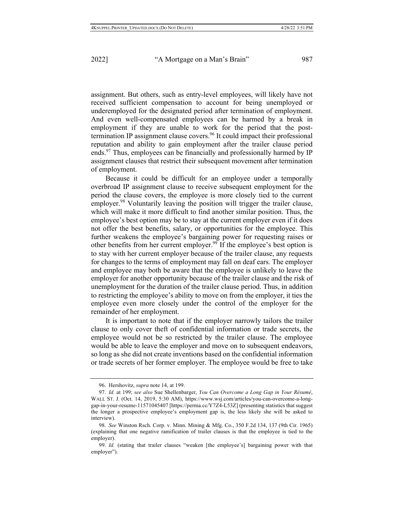assignment. But others, such as entry-level employees, will likely have not received sufficient compensation to account for being unemployed or underemployed for the designated period after termination of employment. And even well-compensated employees can be harmed by a break in employment if they are unable to work for the period that the posttermination IP assignment clause covers.<sup>96</sup> It could impact their professional reputation and ability to gain employment after the trailer clause period ends.<sup>97</sup> Thus, employees can be financially and professionally harmed by IP assignment clauses that restrict their subsequent movement after termination of employment.

Because it could be difficult for an employee under a temporally overbroad IP assignment clause to receive subsequent employment for the period the clause covers, the employee is more closely tied to the current employer.<sup>98</sup> Voluntarily leaving the position will trigger the trailer clause, which will make it more difficult to find another similar position. Thus, the employee's best option may be to stay at the current employer even if it does not offer the best benefits, salary, or opportunities for the employee. This further weakens the employee's bargaining power for requesting raises or other benefits from her current employer.<sup>99</sup> If the employee's best option is to stay with her current employer because of the trailer clause, any requests for changes to the terms of employment may fall on deaf ears. The employer and employee may both be aware that the employee is unlikely to leave the employer for another opportunity because of the trailer clause and the risk of unemployment for the duration of the trailer clause period. Thus, in addition to restricting the employee's ability to move on from the employer, it ties the employee even more closely under the control of the employer for the remainder of her employment.

It is important to note that if the employer narrowly tailors the trailer clause to only cover theft of confidential information or trade secrets, the employee would not be so restricted by the trailer clause. The employee would be able to leave the employer and move on to subsequent endeavors, so long as she did not create inventions based on the confidential information or trade secrets of her former employer. The employee would be free to take

<sup>96.</sup> Hershovitz, *supra* note 14, at 199.

<sup>97.</sup> *Id.* at 199; *see also* Sue Shellenbarger, *You Can Overcome a Long Gap in Your Résumé*, WALL ST. J. (Oct. 14, 2019, 5:30 AM), https://www.wsj.com/articles/you-can-overcome-a-longgap-in-your-resume-11571045407 [https://perma.cc/Y7Z4-L53Z] (presenting statistics that suggest the longer a prospective employee's employment gap is, the less likely she will be asked to interview).

<sup>98.</sup> *See* Winston Rsch. Corp. v. Minn. Mining & Mfg. Co., 350 F.2d 134, 137 (9th Cir. 1965) (explaining that one negative ramification of trailer clauses is that the employee is tied to the employer).

<sup>99.</sup> *Id.* (stating that trailer clauses "weaken [the employee's] bargaining power with that employer").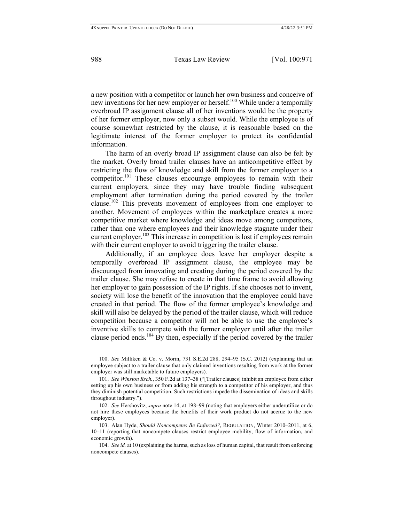a new position with a competitor or launch her own business and conceive of new inventions for her new employer or herself.<sup>100</sup> While under a temporally overbroad IP assignment clause all of her inventions would be the property of her former employer, now only a subset would. While the employee is of course somewhat restricted by the clause, it is reasonable based on the legitimate interest of the former employer to protect its confidential information.

The harm of an overly broad IP assignment clause can also be felt by the market. Overly broad trailer clauses have an anticompetitive effect by restricting the flow of knowledge and skill from the former employer to a competitor.<sup>101</sup> These clauses encourage employees to remain with their current employers, since they may have trouble finding subsequent employment after termination during the period covered by the trailer clause.102 This prevents movement of employees from one employer to another. Movement of employees within the marketplace creates a more competitive market where knowledge and ideas move among competitors, rather than one where employees and their knowledge stagnate under their current employer.<sup>103</sup> This increase in competition is lost if employees remain with their current employer to avoid triggering the trailer clause.

Additionally, if an employee does leave her employer despite a temporally overbroad IP assignment clause, the employee may be discouraged from innovating and creating during the period covered by the trailer clause. She may refuse to create in that time frame to avoid allowing her employer to gain possession of the IP rights. If she chooses not to invent, society will lose the benefit of the innovation that the employee could have created in that period. The flow of the former employee's knowledge and skill will also be delayed by the period of the trailer clause, which will reduce competition because a competitor will not be able to use the employee's inventive skills to compete with the former employer until after the trailer clause period ends.<sup>104</sup> By then, especially if the period covered by the trailer

<sup>100.</sup> *See* Milliken & Co. v. Morin, 731 S.E.2d 288, 294–95 (S.C. 2012) (explaining that an employee subject to a trailer clause that only claimed inventions resulting from work at the former employer was still marketable to future employers).

<sup>101.</sup> *See Winston Rsch.*, 350 F.2d at 137–38 ("[Trailer clauses] inhibit an employee from either setting up his own business or from adding his strength to a competitor of his employer, and thus they diminish potential competition. Such restrictions impede the dissemination of ideas and skills throughout industry.").

<sup>102.</sup> *See* Hershovitz, *supra* note 14, at 198–99 (noting that employers either underutilize or do not hire these employees because the benefits of their work product do not accrue to the new employer).

<sup>103.</sup> Alan Hyde, *Should Noncompetes Be Enforced?*, REGULATION, Winter 2010–2011, at 6, 10–11 (reporting that noncompete clauses restrict employee mobility, flow of information, and economic growth).

<sup>104.</sup> *See id.* at 10 (explaining the harms, such as loss of human capital, that result from enforcing noncompete clauses).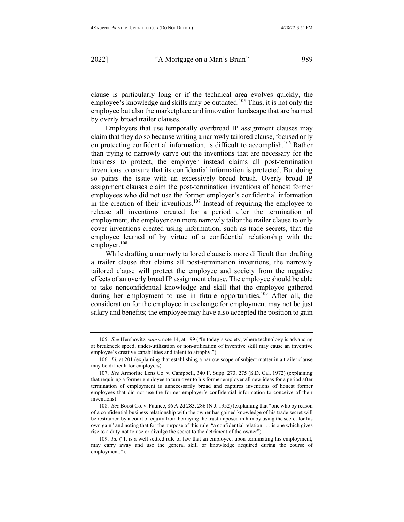clause is particularly long or if the technical area evolves quickly, the employee's knowledge and skills may be outdated.<sup>105</sup> Thus, it is not only the employee but also the marketplace and innovation landscape that are harmed by overly broad trailer clauses.

Employers that use temporally overbroad IP assignment clauses may claim that they do so because writing a narrowly tailored clause, focused only on protecting confidential information, is difficult to accomplish.<sup>106</sup> Rather than trying to narrowly carve out the inventions that are necessary for the business to protect, the employer instead claims all post-termination inventions to ensure that its confidential information is protected. But doing so paints the issue with an excessively broad brush. Overly broad IP assignment clauses claim the post-termination inventions of honest former employees who did not use the former employer's confidential information in the creation of their inventions.<sup>107</sup> Instead of requiring the employee to release all inventions created for a period after the termination of employment, the employer can more narrowly tailor the trailer clause to only cover inventions created using information, such as trade secrets, that the employee learned of by virtue of a confidential relationship with the employer. $108$ 

While drafting a narrowly tailored clause is more difficult than drafting a trailer clause that claims all post-termination inventions, the narrowly tailored clause will protect the employee and society from the negative effects of an overly broad IP assignment clause. The employee should be able to take nonconfidential knowledge and skill that the employee gathered during her employment to use in future opportunities.<sup>109</sup> After all, the consideration for the employee in exchange for employment may not be just salary and benefits; the employee may have also accepted the position to gain

<sup>105.</sup> *See* Hershovitz, *supra* note 14, at 199 ("In today's society, where technology is advancing at breakneck speed, under-utilization or non-utilization of inventive skill may cause an inventive employee's creative capabilities and talent to atrophy.").

<sup>106.</sup> *Id.* at 201 (explaining that establishing a narrow scope of subject matter in a trailer clause may be difficult for employers).

<sup>107.</sup> *See* Armorlite Lens Co. v. Campbell, 340 F. Supp. 273, 275 (S.D. Cal. 1972) (explaining that requiring a former employee to turn over to his former employer all new ideas for a period after termination of employment is unnecessarily broad and captures inventions of honest former employees that did not use the former employer's confidential information to conceive of their inventions).

<sup>108.</sup> *See* Boost Co. v. Faunce, 86 A.2d 283, 286 (N.J. 1952) (explaining that "one who by reason of a confidential business relationship with the owner has gained knowledge of his trade secret will be restrained by a court of equity from betraying the trust imposed in him by using the secret for his own gain" and noting that for the purpose of this rule, "a confidential relation . . . is one which gives rise to a duty not to use or divulge the secret to the detriment of the owner").

<sup>109.</sup> *Id.* ("It is a well settled rule of law that an employee, upon terminating his employment, may carry away and use the general skill or knowledge acquired during the course of employment.").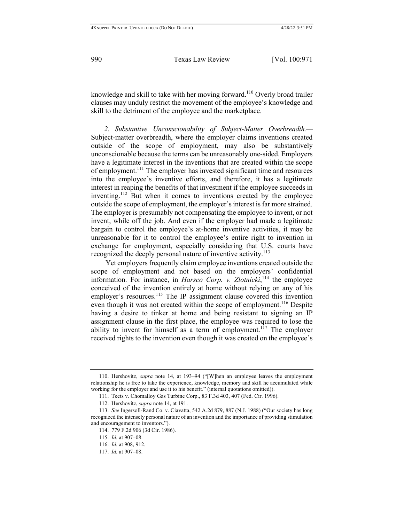knowledge and skill to take with her moving forward.<sup>110</sup> Overly broad trailer clauses may unduly restrict the movement of the employee's knowledge and skill to the detriment of the employee and the marketplace.

*2. Substantive Unconscionability of Subject-Matter Overbreadth.—* Subject-matter overbreadth, where the employer claims inventions created outside of the scope of employment, may also be substantively unconscionable because the terms can be unreasonably one-sided. Employers have a legitimate interest in the inventions that are created within the scope of employment.<sup>111</sup> The employer has invested significant time and resources into the employee's inventive efforts, and therefore, it has a legitimate interest in reaping the benefits of that investment if the employee succeeds in inventing.<sup>112</sup> But when it comes to inventions created by the employee outside the scope of employment, the employer's interest is far more strained. The employer is presumably not compensating the employee to invent, or not invent, while off the job. And even if the employer had made a legitimate bargain to control the employee's at-home inventive activities, it may be unreasonable for it to control the employee's entire right to invention in exchange for employment, especially considering that U.S. courts have recognized the deeply personal nature of inventive activity.<sup>113</sup>

Yet employers frequently claim employee inventions created outside the scope of employment and not based on the employers' confidential information. For instance, in *Harsco Corp. v. Zlotnicki*, <sup>114</sup> the employee conceived of the invention entirely at home without relying on any of his employer's resources.<sup>115</sup> The IP assignment clause covered this invention even though it was not created within the scope of employment.<sup>116</sup> Despite having a desire to tinker at home and being resistant to signing an IP assignment clause in the first place, the employee was required to lose the ability to invent for himself as a term of employment.<sup>117</sup> The employer received rights to the invention even though it was created on the employee's

<sup>110.</sup> Hershovitz, *supra* note 14, at 193–94 ("[W]hen an employee leaves the employment relationship he is free to take the experience, knowledge, memory and skill he accumulated while working for the employer and use it to his benefit." (internal quotations omitted)).

<sup>111.</sup> Teets v. Chomalloy Gas Turbine Corp., 83 F.3d 403, 407 (Fed. Cir. 1996).

<sup>112.</sup> Hershovitz, *supra* note 14, at 191.

<sup>113.</sup> *See* Ingersoll-Rand Co. v. Ciavatta, 542 A.2d 879, 887 (N.J. 1988) ("Our society has long recognized the intensely personal nature of an invention and the importance of providing stimulation and encouragement to inventors.").

<sup>114.</sup> 779 F.2d 906 (3d Cir. 1986).

<sup>115.</sup> *Id.* at 907–08.

<sup>116.</sup> *Id.* at 908, 912.

<sup>117.</sup> *Id.* at 907–08.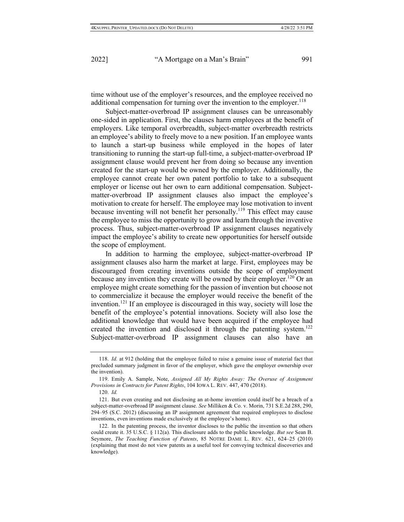time without use of the employer's resources, and the employee received no additional compensation for turning over the invention to the employer.<sup>118</sup>

Subject-matter-overbroad IP assignment clauses can be unreasonably one-sided in application. First, the clauses harm employees at the benefit of employers. Like temporal overbreadth, subject-matter overbreadth restricts an employee's ability to freely move to a new position. If an employee wants to launch a start-up business while employed in the hopes of later transitioning to running the start-up full-time, a subject-matter-overbroad IP assignment clause would prevent her from doing so because any invention created for the start-up would be owned by the employer. Additionally, the employee cannot create her own patent portfolio to take to a subsequent employer or license out her own to earn additional compensation. Subjectmatter-overbroad IP assignment clauses also impact the employee's motivation to create for herself. The employee may lose motivation to invent because inventing will not benefit her personally.<sup>119</sup> This effect may cause the employee to miss the opportunity to grow and learn through the inventive process. Thus, subject-matter-overbroad IP assignment clauses negatively impact the employee's ability to create new opportunities for herself outside the scope of employment.

In addition to harming the employee, subject-matter-overbroad IP assignment clauses also harm the market at large. First, employees may be discouraged from creating inventions outside the scope of employment because any invention they create will be owned by their employer.<sup>120</sup> Or an employee might create something for the passion of invention but choose not to commercialize it because the employer would receive the benefit of the invention.<sup>121</sup> If an employee is discouraged in this way, society will lose the benefit of the employee's potential innovations. Society will also lose the additional knowledge that would have been acquired if the employee had created the invention and disclosed it through the patenting system.<sup>122</sup> Subject-matter-overbroad IP assignment clauses can also have an

<sup>118.</sup> *Id.* at 912 (holding that the employee failed to raise a genuine issue of material fact that precluded summary judgment in favor of the employer, which gave the employer ownership over the invention).

<sup>119.</sup> Emily A. Sample, Note, *Assigned All My Rights Away: The Overuse of Assignment Provisions in Contracts for Patent Rights*, 104 IOWA L. REV. 447, 470 (2018).

<sup>120.</sup> *Id.*

<sup>121.</sup> But even creating and not disclosing an at-home invention could itself be a breach of a subject-matter-overbroad IP assignment clause. *See* Milliken & Co. v. Morin, 731 S.E.2d 288, 290, 294–95 (S.C. 2012) (discussing an IP assignment agreement that required employees to disclose inventions, even inventions made exclusively at the employee's home).

<sup>122.</sup> In the patenting process, the inventor discloses to the public the invention so that others could create it. 35 U.S.C. § 112(a). This disclosure adds to the public knowledge. *But see* Sean B. Seymore, *The Teaching Function of Patents*, 85 NOTRE DAME L. REV. 621, 624–25 (2010) (explaining that most do not view patents as a useful tool for conveying technical discoveries and knowledge).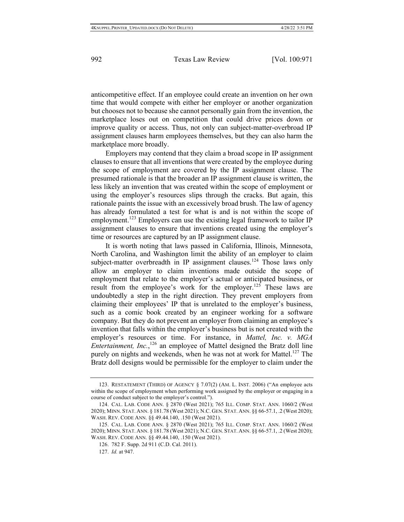anticompetitive effect. If an employee could create an invention on her own time that would compete with either her employer or another organization but chooses not to because she cannot personally gain from the invention, the marketplace loses out on competition that could drive prices down or improve quality or access. Thus, not only can subject-matter-overbroad IP assignment clauses harm employees themselves, but they can also harm the marketplace more broadly.

Employers may contend that they claim a broad scope in IP assignment clauses to ensure that all inventions that were created by the employee during the scope of employment are covered by the IP assignment clause. The presumed rationale is that the broader an IP assignment clause is written, the less likely an invention that was created within the scope of employment or using the employer's resources slips through the cracks. But again, this rationale paints the issue with an excessively broad brush. The law of agency has already formulated a test for what is and is not within the scope of employment.<sup>123</sup> Employers can use the existing legal framework to tailor IP assignment clauses to ensure that inventions created using the employer's time or resources are captured by an IP assignment clause.

It is worth noting that laws passed in California, Illinois, Minnesota, North Carolina, and Washington limit the ability of an employer to claim subject-matter overbreadth in IP assignment clauses.<sup>124</sup> Those laws only allow an employer to claim inventions made outside the scope of employment that relate to the employer's actual or anticipated business, or result from the employee's work for the employer.<sup>125</sup> These laws are undoubtedly a step in the right direction. They prevent employers from claiming their employees' IP that is unrelated to the employer's business, such as a comic book created by an engineer working for a software company. But they do not prevent an employer from claiming an employee's invention that falls within the employer's business but is not created with the employer's resources or time. For instance, in *Mattel, Inc. v. MGA Entertainment, Inc.*,<sup>126</sup> an employee of Mattel designed the Bratz doll line purely on nights and weekends, when he was not at work for Mattel.<sup>127</sup> The Bratz doll designs would be permissible for the employer to claim under the

<sup>123.</sup> RESTATEMENT (THIRD) OF AGENCY § 7.07(2) (AM. L. INST. 2006) ("An employee acts within the scope of employment when performing work assigned by the employer or engaging in a course of conduct subject to the employer's control.").

<sup>124.</sup> CAL. LAB. CODE ANN. § 2870 (West 2021); 765 ILL. COMP. STAT. ANN. 1060/2 (West 2020); MINN. STAT. ANN. § 181.78 (West 2021); N.C. GEN. STAT. ANN. §§ 66-57.1, .2 (West 2020); WASH. REV. CODE ANN. §§ 49.44.140, .150 (West 2021).

<sup>125.</sup> CAL. LAB. CODE ANN. § 2870 (West 2021); 765 ILL. COMP. STAT. ANN. 1060/2 (West 2020); MINN. STAT. ANN. § 181.78 (West 2021); N.C. GEN. STAT. ANN. §§ 66-57.1, .2 (West 2020); WASH. REV. CODE ANN. §§ 49.44.140, .150 (West 2021).

<sup>126.</sup> 782 F. Supp. 2d 911 (C.D. Cal. 2011).

<sup>127.</sup> *Id.* at 947.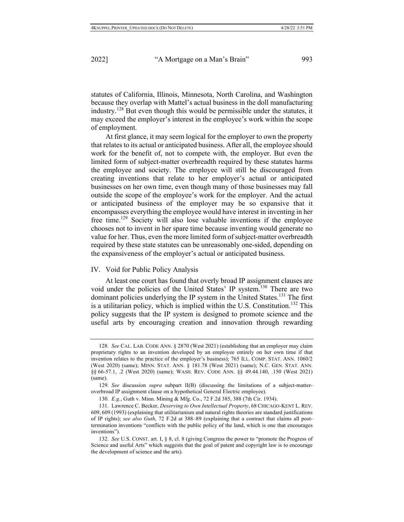statutes of California, Illinois, Minnesota, North Carolina, and Washington because they overlap with Mattel's actual business in the doll manufacturing industry. <sup>128</sup> But even though this would be permissible under the statutes, it may exceed the employer's interest in the employee's work within the scope of employment.

At first glance, it may seem logical for the employer to own the property that relates to its actual or anticipated business. After all, the employee should work for the benefit of, not to compete with, the employer. But even the limited form of subject-matter overbreadth required by these statutes harms the employee and society. The employee will still be discouraged from creating inventions that relate to her employer's actual or anticipated businesses on her own time, even though many of those businesses may fall outside the scope of the employee's work for the employer. And the actual or anticipated business of the employer may be so expansive that it encompasses everything the employee would have interest in inventing in her free time.<sup>129</sup> Society will also lose valuable inventions if the employee chooses not to invent in her spare time because inventing would generate no value for her. Thus, even the more limited form of subject-matter overbreadth required by these state statutes can be unreasonably one-sided, depending on the expansiveness of the employer's actual or anticipated business.

#### IV. Void for Public Policy Analysis

At least one court has found that overly broad IP assignment clauses are void under the policies of the United States' IP system.<sup>130</sup> There are two dominant policies underlying the IP system in the United States.<sup>131</sup> The first is a utilitarian policy, which is implied within the U.S. Constitution.<sup>132</sup> This policy suggests that the IP system is designed to promote science and the useful arts by encouraging creation and innovation through rewarding

<sup>128.</sup> *See* CAL. LAB. CODE ANN. § 2870 (West 2021) (establishing that an employer may claim proprietary rights to an invention developed by an employee entirely on her own time if that invention relates to the practice of the employer's business); 765 ILL. COMP. STAT. ANN. 1060/2 (West 2020) (same); MINN. STAT. ANN. § 181.78 (West 2021) (same); N.C. GEN. STAT. ANN. §§ 66-57.1, .2 (West 2020) (same); WASH. REV. CODE ANN. §§ 49.44.140, .150 (West 2021) (same).

<sup>129.</sup> *See* discussion *supra* subpart II(B) (discussing the limitations of a subject-matteroverbroad IP assignment clause on a hypothetical General Electric employee).

<sup>130.</sup> *E.g.*, Guth v. Minn. Mining & Mfg. Co., 72 F.2d 385, 388 (7th Cir. 1934).

<sup>131.</sup> Lawrence C. Becker, *Deserving to Own Intellectual Property*, 68 CHICAGO-KENT L. REV. 609, 609 (1993) (explaining that utilitarianism and natural rights theories are standard justifications of IP rights); *see also Guth*, 72 F.2d at 388–89 (explaining that a contract that claims all posttermination inventions "conflicts with the public policy of the land, which is one that encourages inventions").

<sup>132.</sup> *See* U.S. CONST. art. I, § 8, cl. 8 (giving Congress the power to "promote the Progress of Science and useful Arts" which suggests that the goal of patent and copyright law is to encourage the development of science and the arts).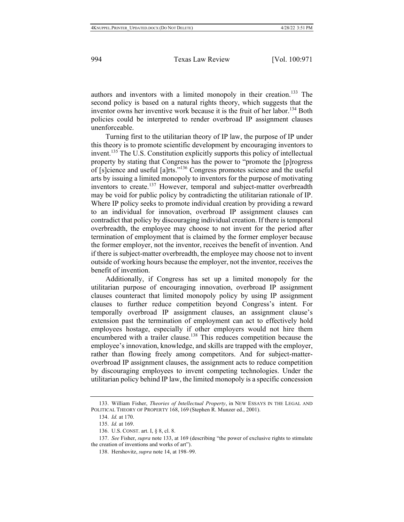authors and inventors with a limited monopoly in their creation.<sup>133</sup> The second policy is based on a natural rights theory, which suggests that the inventor owns her inventive work because it is the fruit of her labor.<sup>134</sup> Both policies could be interpreted to render overbroad IP assignment clauses unenforceable.

Turning first to the utilitarian theory of IP law, the purpose of IP under this theory is to promote scientific development by encouraging inventors to invent.<sup>135</sup> The U.S. Constitution explicitly supports this policy of intellectual property by stating that Congress has the power to "promote the [p]rogress of [s]cience and useful [a]rts."136 Congress promotes science and the useful arts by issuing a limited monopoly to inventors for the purpose of motivating inventors to create.<sup>137</sup> However, temporal and subject-matter overbreadth may be void for public policy by contradicting the utilitarian rationale of IP. Where IP policy seeks to promote individual creation by providing a reward to an individual for innovation, overbroad IP assignment clauses can contradict that policy by discouraging individual creation. If there is temporal overbreadth, the employee may choose to not invent for the period after termination of employment that is claimed by the former employer because the former employer, not the inventor, receives the benefit of invention. And if there is subject-matter overbreadth, the employee may choose not to invent outside of working hours because the employer, not the inventor, receives the benefit of invention.

Additionally, if Congress has set up a limited monopoly for the utilitarian purpose of encouraging innovation, overbroad IP assignment clauses counteract that limited monopoly policy by using IP assignment clauses to further reduce competition beyond Congress's intent. For temporally overbroad IP assignment clauses, an assignment clause's extension past the termination of employment can act to effectively hold employees hostage, especially if other employers would not hire them encumbered with a trailer clause.<sup>138</sup> This reduces competition because the employee's innovation, knowledge, and skills are trapped with the employer, rather than flowing freely among competitors. And for subject-matteroverbroad IP assignment clauses, the assignment acts to reduce competition by discouraging employees to invent competing technologies. Under the utilitarian policy behind IP law, the limited monopoly is a specific concession

<sup>133.</sup> William Fisher, *Theories of Intellectual Property*, in NEW ESSAYS IN THE LEGAL AND POLITICAL THEORY OF PROPERTY 168, 169 (Stephen R. Munzer ed., 2001).

<sup>134.</sup> *Id.* at 170.

<sup>135.</sup> *Id.* at 169.

<sup>136.</sup> U.S. CONST. art. I, § 8, cl. 8.

<sup>137.</sup> *See* Fisher, *supra* note 133, at 169 (describing "the power of exclusive rights to stimulate the creation of inventions and works of art").

<sup>138.</sup> Hershovitz, *supra* note 14, at 198–99.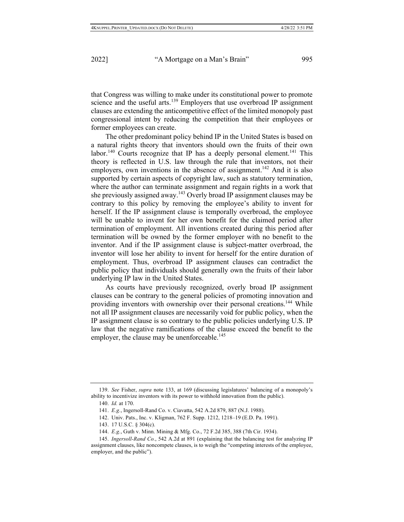that Congress was willing to make under its constitutional power to promote science and the useful arts.<sup>139</sup> Employers that use overbroad IP assignment clauses are extending the anticompetitive effect of the limited monopoly past congressional intent by reducing the competition that their employees or former employees can create.

The other predominant policy behind IP in the United States is based on a natural rights theory that inventors should own the fruits of their own labor.<sup>140</sup> Courts recognize that IP has a deeply personal element.<sup>141</sup> This theory is reflected in U.S. law through the rule that inventors, not their employers, own inventions in the absence of assignment.<sup>142</sup> And it is also supported by certain aspects of copyright law, such as statutory termination, where the author can terminate assignment and regain rights in a work that she previously assigned away.<sup>143</sup> Overly broad IP assignment clauses may be contrary to this policy by removing the employee's ability to invent for herself. If the IP assignment clause is temporally overbroad, the employee will be unable to invent for her own benefit for the claimed period after termination of employment. All inventions created during this period after termination will be owned by the former employer with no benefit to the inventor. And if the IP assignment clause is subject-matter overbroad, the inventor will lose her ability to invent for herself for the entire duration of employment. Thus, overbroad IP assignment clauses can contradict the public policy that individuals should generally own the fruits of their labor underlying IP law in the United States.

As courts have previously recognized, overly broad IP assignment clauses can be contrary to the general policies of promoting innovation and providing inventors with ownership over their personal creations.<sup>144</sup> While not all IP assignment clauses are necessarily void for public policy, when the IP assignment clause is so contrary to the public policies underlying U.S. IP law that the negative ramifications of the clause exceed the benefit to the employer, the clause may be unenforceable.<sup>145</sup>

<sup>139.</sup> *See* Fisher, *supra* note 133, at 169 (discussing legislatures' balancing of a monopoly's ability to incentivize inventors with its power to withhold innovation from the public).

<sup>140.</sup> *Id.* at 170.

<sup>141.</sup> *E.g.*, Ingersoll-Rand Co. v. Ciavatta, 542 A.2d 879, 887 (N.J. 1988).

<sup>142.</sup> Univ. Pats., Inc. v. Kligman, 762 F. Supp. 1212, 1218–19 (E.D. Pa. 1991).

<sup>143.</sup> 17 U.S.C. § 304(c).

<sup>144.</sup> *E.g.*, Guth v. Minn. Mining & Mfg. Co., 72 F.2d 385, 388 (7th Cir. 1934).

<sup>145.</sup> *Ingersoll-Rand Co.*, 542 A.2d at 891 (explaining that the balancing test for analyzing IP assignment clauses, like noncompete clauses, is to weigh the "competing interests of the employee, employer, and the public").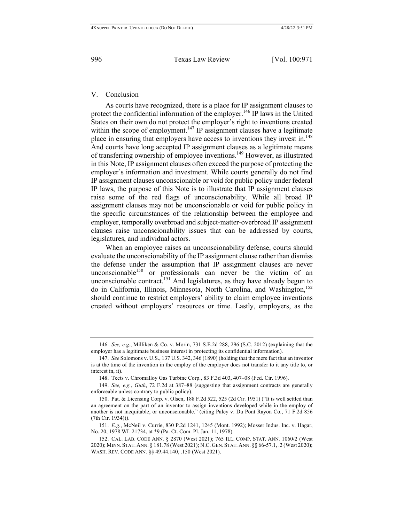## V. Conclusion

As courts have recognized, there is a place for IP assignment clauses to protect the confidential information of the employer.<sup>146</sup> IP laws in the United States on their own do not protect the employer's right to inventions created within the scope of employment.<sup>147</sup> IP assignment clauses have a legitimate place in ensuring that employers have access to inventions they invest in.<sup>148</sup> And courts have long accepted IP assignment clauses as a legitimate means of transferring ownership of employee inventions.<sup>149</sup> However, as illustrated in this Note, IP assignment clauses often exceed the purpose of protecting the employer's information and investment. While courts generally do not find IP assignment clauses unconscionable or void for public policy under federal IP laws, the purpose of this Note is to illustrate that IP assignment clauses raise some of the red flags of unconscionability. While all broad IP assignment clauses may not be unconscionable or void for public policy in the specific circumstances of the relationship between the employee and employer, temporally overbroad and subject-matter-overbroad IP assignment clauses raise unconscionability issues that can be addressed by courts, legislatures, and individual actors.

When an employee raises an unconscionability defense, courts should evaluate the unconscionability of the IP assignment clause rather than dismiss the defense under the assumption that IP assignment clauses are never unconscionable<sup>150</sup> or professionals can never be the victim of an unconscionable contract.<sup>151</sup> And legislatures, as they have already begun to do in California, Illinois, Minnesota, North Carolina, and Washington,<sup>152</sup> should continue to restrict employers' ability to claim employee inventions created without employers' resources or time. Lastly, employers, as the

<sup>146.</sup> *See, e.g.*, Milliken & Co. v. Morin, 731 S.E.2d 288, 296 (S.C. 2012) (explaining that the employer has a legitimate business interest in protecting its confidential information).

<sup>147.</sup> *See* Solomons v. U.S., 137 U.S. 342, 346 (1890) (holding that the mere fact that an inventor is at the time of the invention in the employ of the employer does not transfer to it any title to, or interest in, it).

<sup>148.</sup> Teets v. Chromalloy Gas Turbine Corp., 83 F.3d 403, 407–08 (Fed. Cir. 1996).

<sup>149.</sup> *See, e.g.*, *Guth*, 72 F.2d at 387–88 (suggesting that assignment contracts are generally enforceable unless contrary to public policy).

<sup>150.</sup> Pat. & Licensing Corp. v. Olsen, 188 F.2d 522, 525 (2d Cir. 1951) ("It is well settled than an agreement on the part of an inventor to assign inventions developed while in the employ of another is not inequitable, or unconscionable." (citing Paley v. Du Pont Rayon Co., 71 F.2d 856 (7th Cir. 1934))).

<sup>151.</sup> *E.g.*, McNeil v. Currie, 830 P.2d 1241, 1245 (Mont. 1992); Mosser Indus. Inc. v. Hagar, No. 20, 1978 WL 21734, at \*9 (Pa. Ct. Com. Pl. Jan. 11, 1978).

<sup>152.</sup> CAL. LAB. CODE ANN. § 2870 (West 2021); 765 ILL. COMP. STAT. ANN. 1060/2 (West 2020); MINN. STAT. ANN. § 181.78 (West 2021); N.C. GEN. STAT. ANN. §§ 66-57.1, .2 (West 2020); WASH. REV. CODE ANN. §§ 49.44.140, .150 (West 2021).